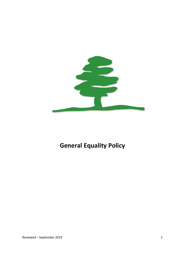

# **General Equality Policy**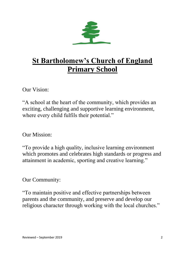

# **St Bartholomew's Church of England Primary School**

Our Vision:

"A school at the heart of the community, which provides an exciting, challenging and supportive learning environment, where every child fulfils their potential."

Our Mission:

"To provide a high quality, inclusive learning environment which promotes and celebrates high standards or progress and attainment in academic, sporting and creative learning."

Our Community:

"To maintain positive and effective partnerships between parents and the community, and preserve and develop our religious character through working with the local churches."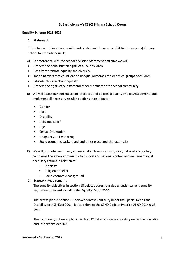#### **St Bartholomew's CE (C) Primary School, Quorn**

#### **Equality Scheme 2019-2022**

#### **1. Statement**

This scheme outlines the commitment of staff and Governors of St Bartholomew's) Primary School to promote equality.

- A) In accordance with the school's Mission Statement and aims we will
- Respect the equal human rights of all our children
- Positively promote equality and diversity
- Tackle barriers that could lead to unequal outcomes for identified groups of children
- Educate children about equality
- Respect the rights of our staff and other members of the school community
- B) We will assess our current school practices and policies (Equality Impact Assessment) and implement all necessary resulting actions in relation to:
	- Gender
	- Race
	- **•** Disability
	- Religious Belief
	- Age
	- Sexual Orientation
	- Pregnancy and maternity
	- Socio-economic background and other protected characteristics.
- C) We will promote community cohesion at all levels school, local, national and global, comparing the school community to its local and national context and implementing all necessary actions in relation to:
	- Ethnicity
	- Religion or belief
	- Socio-economic background
- 2. Statutory Requirements

The equality objectives in section 10 below address our duties under current equality legislation up to and including the Equality Act of 2010.

The access plan in Section 11 below addresses our duty under the Special Needs and Disability Act (SENDA) 2001. It also refers to the SEND Code of Practice 01.09.2014 0-25 years.

The community cohesion plan in Section 12 below addresses our duty under the Education and Inspections Act 2006.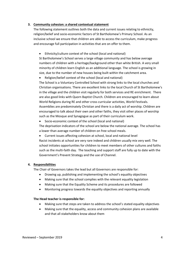#### **3. Community cohesion: a shared contextual statement**

The following statement outlines both the data and current issues relating to ethnicity, religion/belief and socio-economic factors of St Bartholomew's Primary School. As an inclusive school we ensure that children are able to access the curriculum, make progress and encourage full participation in activities that are on offer to them.

Ethnicity/culture context of the school (local and national)

St Bartholomew's School serves a large village community and has below average numbers of children with a heritage/background other than white British. A very small minority of children learn English as an additional language. The school is growing in size, due to the number of new houses being built within the catchment area.

Religion/belief context of the school (local and national)

The School is a Voluntary Controlled School with strong links to the local churches and Christian organisations. There are excellent links to the local Church of St Bartholomew's in the village and the children visit regularly for both services and RE enrichment. There are also good links with Quorn Baptist Church. Children are encouraged to learn about World Religions during RE and other cross curricular activities, World Festivals. Assemblies are predominately Christian and there is a daily act of worship. Children are encouraged to talk about their own and other faiths, they visit other places of worship such as the Mosque and Synagogue as part of their curriculum work.

Socio-economic context of the school (local and national)

The deprivation indicators of the school are below the national average. The school has a lower than average number of children on free school meals.

Current issues affecting cohesion at school, local and national level

Racist incidents at school are very rare indeed and children usually mix very well. The school initiates opportunities for children to meet members of other cultures and faiths such as the multi-faith day. The teaching and support staff are fully up to date with the Government's Prevent Strategy and the use of Channel.

#### **4. Responsibilities**

The Chair of Governors takes the lead but all Governors are responsible for:

- Drawing up, publishing and implementing the school's equality objectives
- Making sure that the school complies with the relevant equality legislation
- Making sure that the Equality Scheme and its procedures are followed
- Monitoring progress towards the equality objectives and reporting annually

#### **The Head teacher is responsible for:**

- Making sure that steps are taken to address the school's stated equality objectives
- Making sure that the equality, access and community cohesion plans are available and that all stakeholders know about them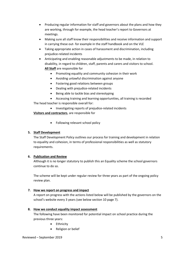- Producing regular information for staff and governors about the plans and how they are working, through for example, the head teacher's report to Governors at meetings.
- Making sure all staff know their responsibilities and receive information and support in carrying these out- for example in the staff handbook and on the VLE
- Taking appropriate action in cases of harassment and discrimination, including prejudice-related incidents
- Anticipating and enabling reasonable adjustments to be made, in relation to disability, in regard to children, staff, parents and carers and visitors to school. **All Staff** are responsible for
	- Promoting equality and community cohesion in their work
	- Avoiding unlawful discrimination against anyone
	- Fostering good relations between groups
	- Dealing with prejudice-related incidents
	- Being able to tackle bias and stereotyping
	- Accessing training and learning opportunities, all training is recorded

The head teacher is responsible overall for:

• Investigating reports of prejudice-related incidents

**Visitors and contractors**, are responsible for

• Following relevant school policy

# **5. Staff Development**

The Staff Development Policy outlines our process for training and development in relation to equality and cohesion, in terms of professional responsibilities as well as statutory requirements.

# **6. Publication and Review**

Although it is no longer statutory to publish this an Equality scheme the school governors continue to do so.

The scheme will be kept under regular review for three years as part of the ongoing policy review plan.

# **7. How we report on progress and impact**

A report on progress with the actions listed below will be published by the governors on the school's website every 3 years (see below section 10 page 7).

# **8. How we conduct equality impact assessment**

The following have been monitored for potential impact on school practice during the previous three years:

- Ethnicity
- Religion or belief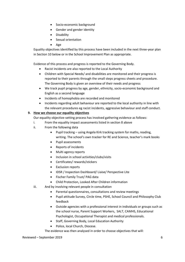- Socio-economic background
- Gender and gender identity
- Disability
- Sexual orientation
- Age

Equality objectives identified by this process have been included in the next three-year plan in Section 10 below or in the School Improvement Plan as appropriate.

Evidence of this process and progress is reported to the Governing Body.

- Racist incidents are also reported to the Local Authority
- Children with Special Needs/ and disabilities are monitored and their progress is reported to their parents through the small steps progress sheets and procedure. The Governing Body is given an overview of their needs and progress
- We track pupil progress by age, gender, ethnicity, socio-economic background and English as a second language
- Incidents of homophobia are recorded and monitored
- Incidents regarding adult behaviour are reported to the local authority in line with the relevant procedures eg racist incidents, aggressive behaviour and staff conduct.

# **9. How we choose our equality objectives**

Our equality objective-setting process has involved gathering evidence as follows:

- i. From the equality impact assessments listed in section 8 above
- ii. From the following data
	- Pupil tracking using Angela Kirk tracking system for maths, reading, writing. The school's own tracker for RE and Science, teacher's mark books
	- Pupil assessments
	- Reports of incidents
	- Multi agency reports
	- Inclusion in school activities/clubs/visits
	- Certificates/ rewards/stickers
	- Exclusion reports
	- IDSR / Inspection Dashboard/ Liaise/ Perspective Lite
	- Fischer Family Trust/ PAG data
	- Child Protection, Looked After Children information
- iii. And by involving relevant people in consultation
	- Parental questionnaires, consultations and review meetings
	- Pupil attitude Survey, Circle time, PSHE, School Council and Philosophy Club feedback
	- Outside agencies with a professional interest in individuals or groups such as the school nurse, Parent Support Workers, SALT, CAMHS, Educational Psychologist, Occupational Therapist and medical professionals.
	- Staff, Governing Body, Local Education Authority
	- Police, local Church, Diocese.

The evidence was then analysed in order to choose objectives that will:

#### Reviewed – September 2019 6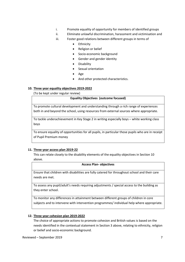- i. Promote equality of opportunity for members of identified groups
- ii. Eliminate unlawful discrimination, harassment and victimisation and
- iii. Foster good relations between different groups in terms of
	- Ethnicity
	- Religion or belief
	- Socio-economic background
	- Gender and gender identity
	- Disability
	- Sexual orientation
	- Age
	- And other protected characteristics.

# **10. Three year equality objectives 2019-2022**

(To be kept under regular review)

#### **Equality Objectives (outcome focused)**

To promote cultural development and understanding through a rich range of experiences both in and beyond the school, using resources from external sources where appropriate.

To tackle underachievement in Key Stage 2 in writing especially boys – white working class boys

To ensure equality of opportunities for all pupils, in particular those pupils who are in receipt of Pupil Premium money

# **11. Three year access plan 2019-22**

This can relate closely to the disability elements of the equality objectives in Section 10 above.

#### **Access Plan- objectives**

Ensure that children with disabilities are fully catered for throughout school and their care needs are met.

To assess any pupil/adult's needs requiring adjustments / special access to the building as they enter school.

To monitor any differences in attainment between different groups of children in core subjects and to intervene with intervention programmes/ individual help where appropriate.

# **12. Three year cohesion plan 2019-2022**

The choice of appropriate actions to promote cohesion and British values is based on the needs identified in the contextual statement in Section 3 above, relating to ethnicity, religion or belief and socio-economic background.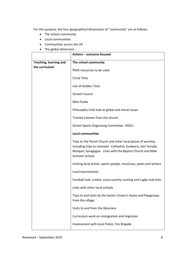For this purpose, the four geographical dimensions of "community" are as follows:

- The school community
- Local communities
- Communities across the UK
- The global dimension

|                               | Actions - outcome focused                                                                                                                                                                                       |
|-------------------------------|-----------------------------------------------------------------------------------------------------------------------------------------------------------------------------------------------------------------|
| <b>Teaching, learning and</b> | The school community                                                                                                                                                                                            |
| the curriculum                | PSHE resources to be used                                                                                                                                                                                       |
|                               | Circle Time                                                                                                                                                                                                     |
|                               | Use of Golden Time                                                                                                                                                                                              |
|                               | <b>School Council</b>                                                                                                                                                                                           |
|                               | Mini-Fosba                                                                                                                                                                                                      |
|                               | Philosophy Club look at global and moral issues                                                                                                                                                                 |
|                               | Trained Listener from the church                                                                                                                                                                                |
|                               | <b>School Sports Organising Committee-SSOCs</b>                                                                                                                                                                 |
|                               | <b>Local communities</b>                                                                                                                                                                                        |
|                               | Trips to the Parish Church and other local places of worship,<br>including trips to Leicester- Cathedral, Gudwara, Jain Temple,<br>Mosque, Synagogue. Links with the Baptist Church and Bible<br>Summer School. |
|                               | Inviting local artists, sports people, musicians, poets and writers                                                                                                                                             |
|                               | Local tournaments                                                                                                                                                                                               |
|                               | Football club, cricket, cross country running and rugby club links                                                                                                                                              |
|                               | Links with other local schools                                                                                                                                                                                  |
|                               | Trips to and visits by the Senior Citizen's Home and Playgroups<br>from the village.                                                                                                                            |
|                               | Visits to and from the librarians                                                                                                                                                                               |
|                               | Curriculum work on immigration and migration                                                                                                                                                                    |
|                               | Involvement with local Police, Fire Brigade                                                                                                                                                                     |